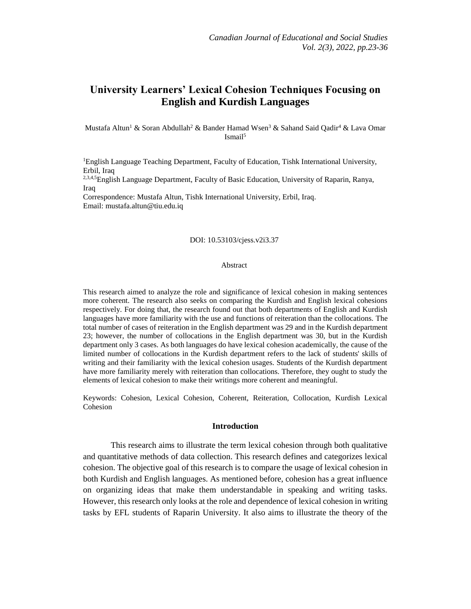# **University Learners' Lexical Cohesion Techniques Focusing on English and Kurdish Languages**

Mustafa Altun<sup>1</sup> & Soran Abdullah<sup>2</sup> & Bander Hamad Wsen<sup>3</sup> & Sahand Said Oadir<sup>4</sup> & Lava Omar Ismail<sup>5</sup>

<sup>1</sup>English Language Teaching Department, Faculty of Education, Tishk International University, Erbil, Iraq

<sup>2,3,4,5</sup>English Language Department, Faculty of Basic Education, University of Raparin, Ranya, **Iraq** 

Correspondence: Mustafa Altun, Tishk International University, Erbil, Iraq. Email: [mustafa.altun@tiu.edu.iq](mailto:mustafa.altun@tiu.edu.iq)

## DOI: 10.53103/cjess.v2i3.37

#### Abstract

This research aimed to analyze the role and significance of lexical cohesion in making sentences more coherent. The research also seeks on comparing the Kurdish and English lexical cohesions respectively. For doing that, the research found out that both departments of English and Kurdish languages have more familiarity with the use and functions of reiteration than the collocations. The total number of cases of reiteration in the English department was 29 and in the Kurdish department 23; however, the number of collocations in the English department was 30, but in the Kurdish department only 3 cases. As both languages do have lexical cohesion academically, the cause of the limited number of collocations in the Kurdish department refers to the lack of students' skills of writing and their familiarity with the lexical cohesion usages. Students of the Kurdish department have more familiarity merely with reiteration than collocations. Therefore, they ought to study the elements of lexical cohesion to make their writings more coherent and meaningful.

Keywords: Cohesion, Lexical Cohesion, Coherent, Reiteration, Collocation, Kurdish Lexical Cohesion

#### **Introduction**

This research aims to illustrate the term lexical cohesion through both qualitative and quantitative methods of data collection. This research defines and categorizes lexical cohesion. The objective goal of this research is to compare the usage of lexical cohesion in both Kurdish and English languages. As mentioned before, cohesion has a great influence on organizing ideas that make them understandable in speaking and writing tasks. However, this research only looks at the role and dependence of lexical cohesion in writing tasks by EFL students of Raparin University. It also aims to illustrate the theory of the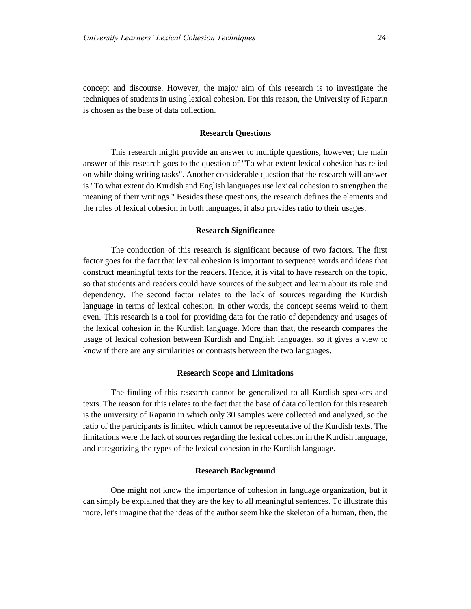concept and discourse. However, the major aim of this research is to investigate the techniques of students in using lexical cohesion. For this reason, the University of Raparin is chosen as the base of data collection.

## **Research Questions**

This research might provide an answer to multiple questions, however; the main answer of this research goes to the question of "To what extent lexical cohesion has relied on while doing writing tasks". Another considerable question that the research will answer is "To what extent do Kurdish and English languages use lexical cohesion to strengthen the meaning of their writings." Besides these questions, the research defines the elements and the roles of lexical cohesion in both languages, it also provides ratio to their usages.

#### **Research Significance**

The conduction of this research is significant because of two factors. The first factor goes for the fact that lexical cohesion is important to sequence words and ideas that construct meaningful texts for the readers. Hence, it is vital to have research on the topic, so that students and readers could have sources of the subject and learn about its role and dependency. The second factor relates to the lack of sources regarding the Kurdish language in terms of lexical cohesion. In other words, the concept seems weird to them even. This research is a tool for providing data for the ratio of dependency and usages of the lexical cohesion in the Kurdish language. More than that, the research compares the usage of lexical cohesion between Kurdish and English languages, so it gives a view to know if there are any similarities or contrasts between the two languages.

#### **Research Scope and Limitations**

The finding of this research cannot be generalized to all Kurdish speakers and texts. The reason for this relates to the fact that the base of data collection for this research is the university of Raparin in which only 30 samples were collected and analyzed, so the ratio of the participants is limited which cannot be representative of the Kurdish texts. The limitations were the lack of sources regarding the lexical cohesion in the Kurdish language, and categorizing the types of the lexical cohesion in the Kurdish language.

#### **Research Background**

One might not know the importance of cohesion in language organization, but it can simply be explained that they are the key to all meaningful sentences. To illustrate this more, let's imagine that the ideas of the author seem like the skeleton of a human, then, the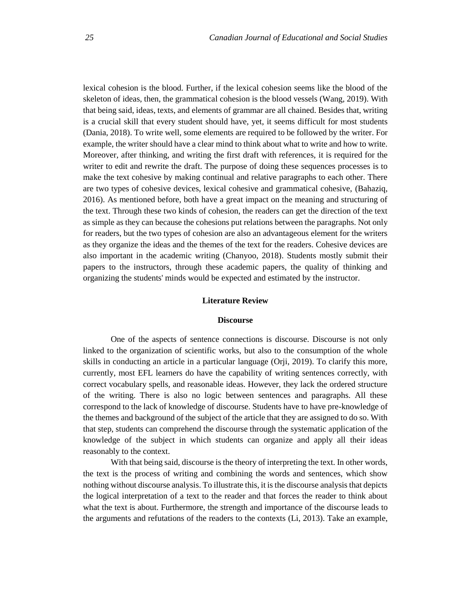lexical cohesion is the blood. Further, if the lexical cohesion seems like the blood of the skeleton of ideas, then, the grammatical cohesion is the blood vessels (Wang, 2019). With that being said, ideas, texts, and elements of grammar are all chained. Besides that, writing is a crucial skill that every student should have, yet, it seems difficult for most students (Dania, 2018). To write well, some elements are required to be followed by the writer. For example, the writer should have a clear mind to think about what to write and how to write. Moreover, after thinking, and writing the first draft with references, it is required for the writer to edit and rewrite the draft. The purpose of doing these sequences processes is to make the text cohesive by making continual and relative paragraphs to each other. There are two types of cohesive devices, lexical cohesive and grammatical cohesive, (Bahaziq, 2016). As mentioned before, both have a great impact on the meaning and structuring of the text. Through these two kinds of cohesion, the readers can get the direction of the text as simple as they can because the cohesions put relations between the paragraphs. Not only for readers, but the two types of cohesion are also an advantageous element for the writers as they organize the ideas and the themes of the text for the readers. Cohesive devices are also important in the academic writing (Chanyoo, 2018). Students mostly submit their papers to the instructors, through these academic papers, the quality of thinking and organizing the students' minds would be expected and estimated by the instructor.

#### **Literature Review**

#### **Discourse**

One of the aspects of sentence connections is discourse. Discourse is not only linked to the organization of scientific works, but also to the consumption of the whole skills in conducting an article in a particular language (Orji, 2019). To clarify this more, currently, most EFL learners do have the capability of writing sentences correctly, with correct vocabulary spells, and reasonable ideas. However, they lack the ordered structure of the writing. There is also no logic between sentences and paragraphs. All these correspond to the lack of knowledge of discourse. Students have to have pre-knowledge of the themes and background of the subject of the article that they are assigned to do so. With that step, students can comprehend the discourse through the systematic application of the knowledge of the subject in which students can organize and apply all their ideas reasonably to the context.

With that being said, discourse is the theory of interpreting the text. In other words, the text is the process of writing and combining the words and sentences, which show nothing without discourse analysis. To illustrate this, it is the discourse analysis that depicts the logical interpretation of a text to the reader and that forces the reader to think about what the text is about. Furthermore, the strength and importance of the discourse leads to the arguments and refutations of the readers to the contexts (Li, 2013). Take an example,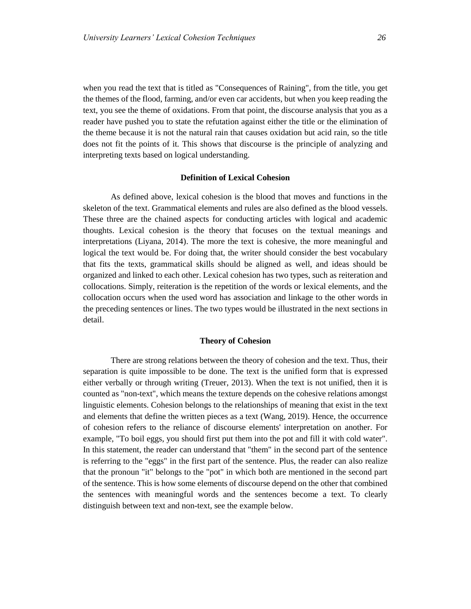when you read the text that is titled as "Consequences of Raining", from the title, you get the themes of the flood, farming, and/or even car accidents, but when you keep reading the text, you see the theme of oxidations. From that point, the discourse analysis that you as a reader have pushed you to state the refutation against either the title or the elimination of the theme because it is not the natural rain that causes oxidation but acid rain, so the title does not fit the points of it. This shows that discourse is the principle of analyzing and interpreting texts based on logical understanding.

# **Definition of Lexical Cohesion**

As defined above, lexical cohesion is the blood that moves and functions in the skeleton of the text. Grammatical elements and rules are also defined as the blood vessels. These three are the chained aspects for conducting articles with logical and academic thoughts. Lexical cohesion is the theory that focuses on the textual meanings and interpretations (Liyana, 2014). The more the text is cohesive, the more meaningful and logical the text would be. For doing that, the writer should consider the best vocabulary that fits the texts, grammatical skills should be aligned as well, and ideas should be organized and linked to each other. Lexical cohesion has two types, such as reiteration and collocations. Simply, reiteration is the repetition of the words or lexical elements, and the collocation occurs when the used word has association and linkage to the other words in the preceding sentences or lines. The two types would be illustrated in the next sections in detail.

#### **Theory of Cohesion**

There are strong relations between the theory of cohesion and the text. Thus, their separation is quite impossible to be done. The text is the unified form that is expressed either verbally or through writing (Treuer, 2013). When the text is not unified, then it is counted as "non-text", which means the texture depends on the cohesive relations amongst linguistic elements. Cohesion belongs to the relationships of meaning that exist in the text and elements that define the written pieces as a text (Wang, 2019). Hence, the occurrence of cohesion refers to the reliance of discourse elements' interpretation on another. For example, "To boil eggs, you should first put them into the pot and fill it with cold water". In this statement, the reader can understand that "them" in the second part of the sentence is referring to the "eggs" in the first part of the sentence. Plus, the reader can also realize that the pronoun "it" belongs to the "pot" in which both are mentioned in the second part of the sentence. This is how some elements of discourse depend on the other that combined the sentences with meaningful words and the sentences become a text. To clearly distinguish between text and non-text, see the example below.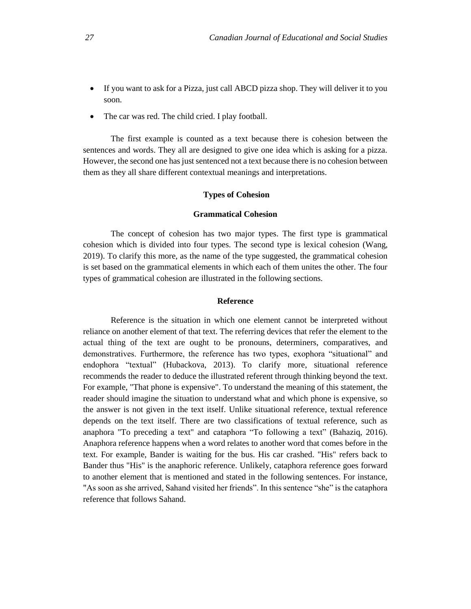- If you want to ask for a Pizza, just call ABCD pizza shop. They will deliver it to you soon.
- The car was red. The child cried. I play football.

The first example is counted as a text because there is cohesion between the sentences and words. They all are designed to give one idea which is asking for a pizza. However, the second one has just sentenced not a text because there is no cohesion between them as they all share different contextual meanings and interpretations.

## **Types of Cohesion**

## **Grammatical Cohesion**

The concept of cohesion has two major types. The first type is grammatical cohesion which is divided into four types. The second type is lexical cohesion (Wang, 2019). To clarify this more, as the name of the type suggested, the grammatical cohesion is set based on the grammatical elements in which each of them unites the other. The four types of grammatical cohesion are illustrated in the following sections.

# **Reference**

Reference is the situation in which one element cannot be interpreted without reliance on another element of that text. The referring devices that refer the element to the actual thing of the text are ought to be pronouns, determiners, comparatives, and demonstratives. Furthermore, the reference has two types, exophora "situational" and endophora "textual" (Hubackova, 2013). To clarify more, situational reference recommends the reader to deduce the illustrated referent through thinking beyond the text. For example, "That phone is expensive". To understand the meaning of this statement, the reader should imagine the situation to understand what and which phone is expensive, so the answer is not given in the text itself. Unlike situational reference, textual reference depends on the text itself. There are two classifications of textual reference, such as anaphora "To preceding a text" and cataphora "To following a text" (Bahaziq, 2016). Anaphora reference happens when a word relates to another word that comes before in the text. For example, Bander is waiting for the bus. His car crashed. "His" refers back to Bander thus "His" is the anaphoric reference. Unlikely, cataphora reference goes forward to another element that is mentioned and stated in the following sentences. For instance, "As soon as she arrived, Sahand visited her friends". In this sentence "she" is the cataphora reference that follows Sahand.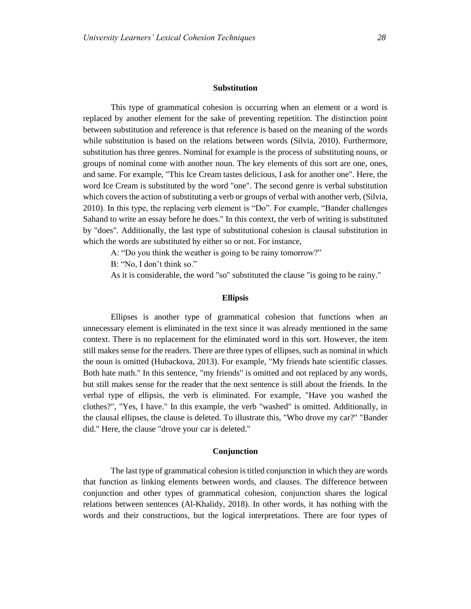#### **Substitution**

This type of grammatical cohesion is occurring when an element or a word is replaced by another element for the sake of preventing repetition. The distinction point between substitution and reference is that reference is based on the meaning of the words while substitution is based on the relations between words (Silvia, 2010). Furthermore, substitution has three genres. Nominal for example is the process of substituting nouns, or groups of nominal come with another noun. The key elements of this sort are one, ones, and same. For example, "This Ice Cream tastes delicious, I ask for another one". Here, the word Ice Cream is substituted by the word "one". The second genre is verbal substitution which covers the action of substituting a verb or groups of verbal with another verb, (Silvia, 2010). In this type, the replacing verb element is "Do". For example, "Bander challenges Sahand to write an essay before he does." In this context, the verb of writing is substituted by "does". Additionally, the last type of substitutional cohesion is clausal substitution in which the words are substituted by either so or not. For instance,

A: "Do you think the weather is going to be rainy tomorrow?"

B: "No, I don't think so."

As it is considerable, the word "so" substituted the clause "is going to be rainy."

## **Ellipsis**

Ellipses is another type of grammatical cohesion that functions when an unnecessary element is eliminated in the text since it was already mentioned in the same context. There is no replacement for the eliminated word in this sort. However, the item still makes sense for the readers. There are three types of ellipses, such as nominal in which the noun is omitted (Hubackova, 2013). For example, "My friends hate scientific classes. Both hate math." In this sentence, "my friends" is omitted and not replaced by any words, but still makes sense for the reader that the next sentence is still about the friends. In the verbal type of ellipsis, the verb is eliminated. For example, "Have you washed the clothes?", "Yes, I have." In this example, the verb "washed" is omitted. Additionally, in the clausal ellipses, the clause is deleted. To illustrate this, "Who drove my car?" "Bander did." Here, the clause "drove your car is deleted."

#### **Conjunction**

The last type of grammatical cohesion is titled conjunction in which they are words that function as linking elements between words, and clauses. The difference between conjunction and other types of grammatical cohesion, conjunction shares the logical relations between sentences (Al-Khalidy, 2018). In other words, it has nothing with the words and their constructions, but the logical interpretations. There are four types of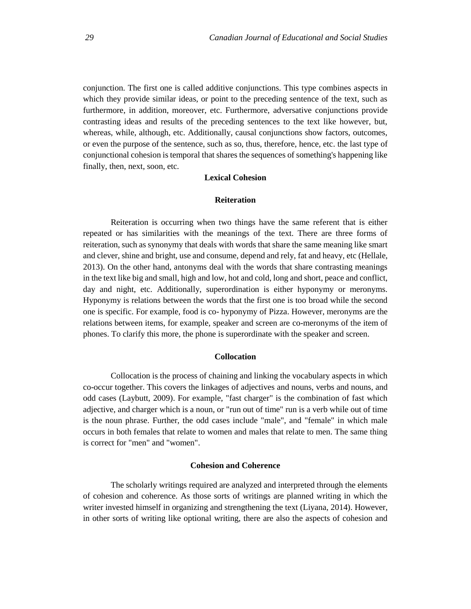conjunction. The first one is called additive conjunctions. This type combines aspects in which they provide similar ideas, or point to the preceding sentence of the text, such as furthermore, in addition, moreover, etc. Furthermore, adversative conjunctions provide contrasting ideas and results of the preceding sentences to the text like however, but, whereas, while, although, etc. Additionally, causal conjunctions show factors, outcomes, or even the purpose of the sentence, such as so, thus, therefore, hence, etc. the last type of conjunctional cohesion is temporal that shares the sequences of something's happening like finally, then, next, soon, etc.

# **Lexical Cohesion**

### **Reiteration**

Reiteration is occurring when two things have the same referent that is either repeated or has similarities with the meanings of the text. There are three forms of reiteration, such as synonymy that deals with words that share the same meaning like smart and clever, shine and bright, use and consume, depend and rely, fat and heavy, etc (Hellale, 2013). On the other hand, antonyms deal with the words that share contrasting meanings in the text like big and small, high and low, hot and cold, long and short, peace and conflict, day and night, etc. Additionally, superordination is either hyponymy or meronyms. Hyponymy is relations between the words that the first one is too broad while the second one is specific. For example, food is co- hyponymy of Pizza. However, meronyms are the relations between items, for example, speaker and screen are co-meronyms of the item of phones. To clarify this more, the phone is superordinate with the speaker and screen.

# **Collocation**

Collocation is the process of chaining and linking the vocabulary aspects in which co-occur together. This covers the linkages of adjectives and nouns, verbs and nouns, and odd cases (Laybutt, 2009). For example, "fast charger" is the combination of fast which adjective, and charger which is a noun, or "run out of time" run is a verb while out of time is the noun phrase. Further, the odd cases include "male", and "female" in which male occurs in both females that relate to women and males that relate to men. The same thing is correct for "men" and "women".

# **Cohesion and Coherence**

The scholarly writings required are analyzed and interpreted through the elements of cohesion and coherence. As those sorts of writings are planned writing in which the writer invested himself in organizing and strengthening the text (Liyana, 2014). However, in other sorts of writing like optional writing, there are also the aspects of cohesion and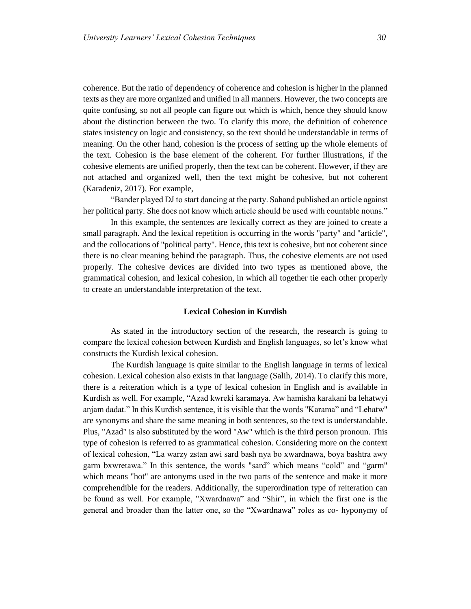coherence. But the ratio of dependency of coherence and cohesion is higher in the planned texts as they are more organized and unified in all manners. However, the two concepts are quite confusing, so not all people can figure out which is which, hence they should know about the distinction between the two. To clarify this more, the definition of coherence states insistency on logic and consistency, so the text should be understandable in terms of meaning. On the other hand, cohesion is the process of setting up the whole elements of the text. Cohesion is the base element of the coherent. For further illustrations, if the cohesive elements are unified properly, then the text can be coherent. However, if they are not attached and organized well, then the text might be cohesive, but not coherent (Karadeniz, 2017). For example,

"Bander played DJ to start dancing at the party. Sahand published an article against her political party. She does not know which article should be used with countable nouns."

In this example, the sentences are lexically correct as they are joined to create a small paragraph. And the lexical repetition is occurring in the words "party" and "article", and the collocations of "political party". Hence, this text is cohesive, but not coherent since there is no clear meaning behind the paragraph. Thus, the cohesive elements are not used properly. The cohesive devices are divided into two types as mentioned above, the grammatical cohesion, and lexical cohesion, in which all together tie each other properly to create an understandable interpretation of the text.

#### **Lexical Cohesion in Kurdish**

As stated in the introductory section of the research, the research is going to compare the lexical cohesion between Kurdish and English languages, so let's know what constructs the Kurdish lexical cohesion.

The Kurdish language is quite similar to the English language in terms of lexical cohesion. Lexical cohesion also exists in that language (Salih, 2014). To clarify this more, there is a reiteration which is a type of lexical cohesion in English and is available in Kurdish as well. For example, "Azad kwreki karamaya. Aw hamisha karakani ba lehatwyi anjam dadat." In this Kurdish sentence, it is visible that the words "Karama" and "Lehatw" are synonyms and share the same meaning in both sentences, so the text is understandable. Plus, "Azad" is also substituted by the word "Aw" which is the third person pronoun. This type of cohesion is referred to as grammatical cohesion. Considering more on the context of lexical cohesion, "La warzy zstan awi sard bash nya bo xwardnawa, boya bashtra awy garm bxwretawa." In this sentence, the words "sard" which means "cold" and "garm" which means "hot" are antonyms used in the two parts of the sentence and make it more comprehendible for the readers. Additionally, the superordination type of reiteration can be found as well. For example, "Xwardnawa" and "Shir", in which the first one is the general and broader than the latter one, so the "Xwardnawa" roles as co- hyponymy of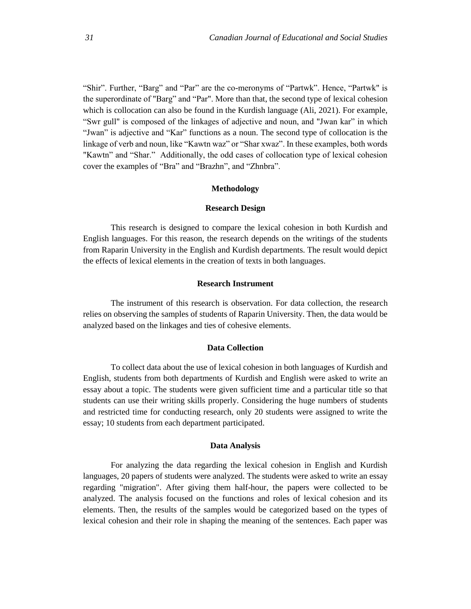"Shir". Further, "Barg" and "Par" are the co-meronyms of "Partwk". Hence, "Partwk" is the superordinate of "Barg" and "Par". More than that, the second type of lexical cohesion which is collocation can also be found in the Kurdish language (Ali, 2021). For example, "Swr gull" is composed of the linkages of adjective and noun, and "Jwan kar" in which "Jwan" is adjective and "Kar" functions as a noun. The second type of collocation is the linkage of verb and noun, like "Kawtn waz" or "Shar xwaz". In these examples, both words "Kawtn" and "Shar." Additionally, the odd cases of collocation type of lexical cohesion cover the examples of "Bra" and "Brazhn", and "Zhnbra".

#### **Methodology**

## **Research Design**

This research is designed to compare the lexical cohesion in both Kurdish and English languages. For this reason, the research depends on the writings of the students from Raparin University in the English and Kurdish departments. The result would depict the effects of lexical elements in the creation of texts in both languages.

## **Research Instrument**

The instrument of this research is observation. For data collection, the research relies on observing the samples of students of Raparin University. Then, the data would be analyzed based on the linkages and ties of cohesive elements.

## **Data Collection**

To collect data about the use of lexical cohesion in both languages of Kurdish and English, students from both departments of Kurdish and English were asked to write an essay about a topic. The students were given sufficient time and a particular title so that students can use their writing skills properly. Considering the huge numbers of students and restricted time for conducting research, only 20 students were assigned to write the essay; 10 students from each department participated.

#### **Data Analysis**

For analyzing the data regarding the lexical cohesion in English and Kurdish languages, 20 papers of students were analyzed. The students were asked to write an essay regarding "migration". After giving them half-hour, the papers were collected to be analyzed. The analysis focused on the functions and roles of lexical cohesion and its elements. Then, the results of the samples would be categorized based on the types of lexical cohesion and their role in shaping the meaning of the sentences. Each paper was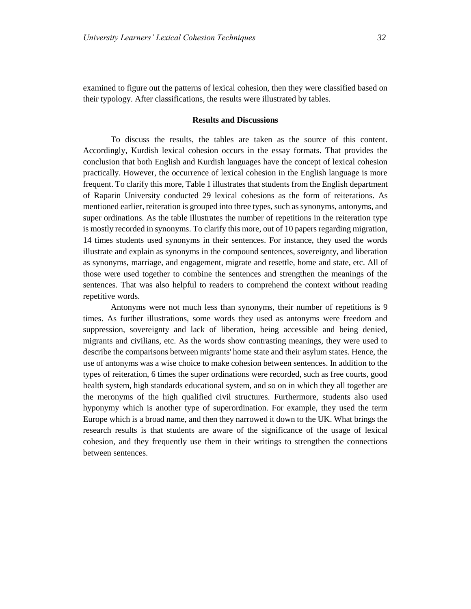examined to figure out the patterns of lexical cohesion, then they were classified based on their typology. After classifications, the results were illustrated by tables.

#### **Results and Discussions**

To discuss the results, the tables are taken as the source of this content. Accordingly, Kurdish lexical cohesion occurs in the essay formats. That provides the conclusion that both English and Kurdish languages have the concept of lexical cohesion practically. However, the occurrence of lexical cohesion in the English language is more frequent. To clarify this more, Table 1 illustrates that students from the English department of Raparin University conducted 29 lexical cohesions as the form of reiterations. As mentioned earlier, reiteration is grouped into three types, such as synonyms, antonyms, and super ordinations. As the table illustrates the number of repetitions in the reiteration type is mostly recorded in synonyms. To clarify this more, out of 10 papers regarding migration, 14 times students used synonyms in their sentences. For instance, they used the words illustrate and explain as synonyms in the compound sentences, sovereignty, and liberation as synonyms, marriage, and engagement, migrate and resettle, home and state, etc. All of those were used together to combine the sentences and strengthen the meanings of the sentences. That was also helpful to readers to comprehend the context without reading repetitive words.

Antonyms were not much less than synonyms, their number of repetitions is 9 times. As further illustrations, some words they used as antonyms were freedom and suppression, sovereignty and lack of liberation, being accessible and being denied, migrants and civilians, etc. As the words show contrasting meanings, they were used to describe the comparisons between migrants' home state and their asylum states. Hence, the use of antonyms was a wise choice to make cohesion between sentences. In addition to the types of reiteration, 6 times the super ordinations were recorded, such as free courts, good health system, high standards educational system, and so on in which they all together are the meronyms of the high qualified civil structures. Furthermore, students also used hyponymy which is another type of superordination. For example, they used the term Europe which is a broad name, and then they narrowed it down to the UK. What brings the research results is that students are aware of the significance of the usage of lexical cohesion, and they frequently use them in their writings to strengthen the connections between sentences.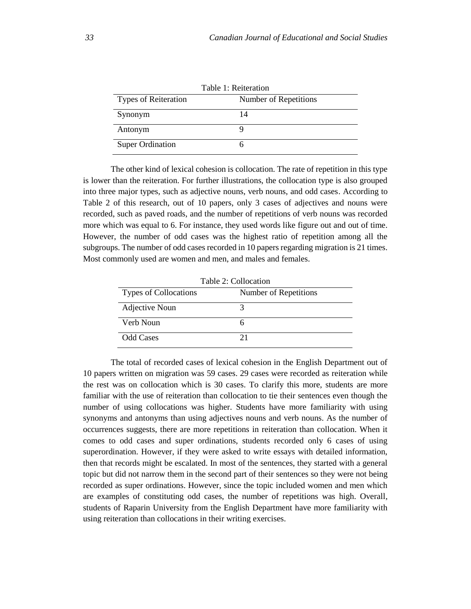| Table 1: Reiteration        |                       |  |
|-----------------------------|-----------------------|--|
| <b>Types of Reiteration</b> | Number of Repetitions |  |
| Synonym                     | 14                    |  |
| Antonym                     |                       |  |
| <b>Super Ordination</b>     |                       |  |

The other kind of lexical cohesion is collocation. The rate of repetition in this type is lower than the reiteration. For further illustrations, the collocation type is also grouped into three major types, such as adjective nouns, verb nouns, and odd cases. According to Table 2 of this research, out of 10 papers, only 3 cases of adjectives and nouns were recorded, such as paved roads, and the number of repetitions of verb nouns was recorded more which was equal to 6. For instance, they used words like figure out and out of time. However, the number of odd cases was the highest ratio of repetition among all the subgroups. The number of odd cases recorded in 10 papers regarding migration is 21 times. Most commonly used are women and men, and males and females.

| Table 2: Collocation         |                       |  |
|------------------------------|-----------------------|--|
| <b>Types of Collocations</b> | Number of Repetitions |  |
| Adjective Noun               |                       |  |
| Verb Noun                    |                       |  |
| <b>Odd Cases</b>             | 21                    |  |

The total of recorded cases of lexical cohesion in the English Department out of 10 papers written on migration was 59 cases. 29 cases were recorded as reiteration while the rest was on collocation which is 30 cases. To clarify this more, students are more familiar with the use of reiteration than collocation to tie their sentences even though the number of using collocations was higher. Students have more familiarity with using synonyms and antonyms than using adjectives nouns and verb nouns. As the number of occurrences suggests, there are more repetitions in reiteration than collocation. When it comes to odd cases and super ordinations, students recorded only 6 cases of using superordination. However, if they were asked to write essays with detailed information, then that records might be escalated. In most of the sentences, they started with a general topic but did not narrow them in the second part of their sentences so they were not being recorded as super ordinations. However, since the topic included women and men which are examples of constituting odd cases, the number of repetitions was high. Overall, students of Raparin University from the English Department have more familiarity with using reiteration than collocations in their writing exercises.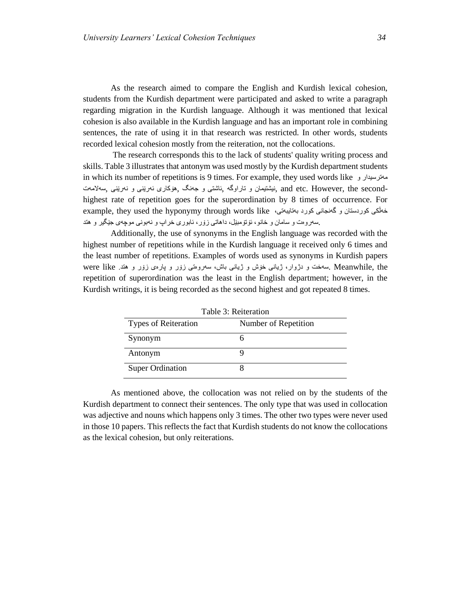As the research aimed to compare the English and Kurdish lexical cohesion, students from the Kurdish department were participated and asked to write a paragraph regarding migration in the Kurdish language. Although it was mentioned that lexical cohesion is also available in the Kurdish language and has an important role in combining sentences, the rate of using it in that research was restricted. In other words, students recorded lexical cohesion mostly from the reiteration, not the collocations.

The research corresponds this to the lack of students' quality writing process and skills. Table 3 illustrates that antonym was used mostly by the Kurdish department students in which its number of repetitions is 9 times. For example, they used words like و مهترسیدار سهالمهت, نهرێنی و ئهرێنی هۆكاری, جهنگ و ئاشتی, تاراوگه و نیشتیمان, and etc. However, the secondhighest rate of repetition goes for the superordination by 8 times of occurrence. For example, they used the hyponymy through words like ،بهتایبهتی كورد گهنجانی و كوردستان خهڵكی .سهروهت و سامان و خانو، ئۆتۆمبێل، داهاتی زۆر، ئابوری خراپ و نهبونی موچهی جێگیر و هتد

Additionally, the use of synonyms in the English language was recorded with the highest number of repetitions while in the Kurdish language it received only 6 times and the least number of repetitions. Examples of words used as synonyms in Kurdish papers the ,Meanwhile .سهخت و دژوار، ژیانی خۆش و ژیانی باش، سهروهتی زۆر و پارهی زۆر و هتد. like were repetition of superordination was the least in the English department; however, in the Kurdish writings, it is being recorded as the second highest and got repeated 8 times.

| Table 5. Refletation        |                      |  |
|-----------------------------|----------------------|--|
| <b>Types of Reiteration</b> | Number of Repetition |  |
| Synonym                     |                      |  |
| Antonym                     |                      |  |
| <b>Super Ordination</b>     |                      |  |

Table 3: Reiteration

As mentioned above, the collocation was not relied on by the students of the Kurdish department to connect their sentences. The only type that was used in collocation was adjective and nouns which happens only 3 times. The other two types were never used in those 10 papers. This reflects the fact that Kurdish students do not know the collocations as the lexical cohesion, but only reiterations.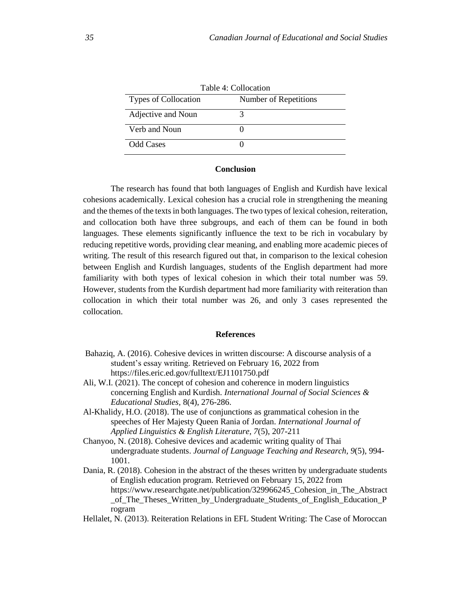| Table 4: Collocation |                       |  |
|----------------------|-----------------------|--|
| Types of Collocation | Number of Repetitions |  |
| Adjective and Noun   |                       |  |
| Verb and Noun        |                       |  |
| Odd Cases            |                       |  |

# **Conclusion**

The research has found that both languages of English and Kurdish have lexical cohesions academically. Lexical cohesion has a crucial role in strengthening the meaning and the themes of the texts in both languages. The two types of lexical cohesion, reiteration, and collocation both have three subgroups, and each of them can be found in both languages. These elements significantly influence the text to be rich in vocabulary by reducing repetitive words, providing clear meaning, and enabling more academic pieces of writing. The result of this research figured out that, in comparison to the lexical cohesion between English and Kurdish languages, students of the English department had more familiarity with both types of lexical cohesion in which their total number was 59. However, students from the Kurdish department had more familiarity with reiteration than collocation in which their total number was 26, and only 3 cases represented the collocation.

## **References**

- Bahaziq, A. (2016). Cohesive devices in written discourse: A discourse analysis of a student's essay writing. Retrieved on February 16, 2022 from https://files.eric.ed.gov/fulltext/EJ1101750.pdf
- Ali, W.I. (2021). The concept of cohesion and coherence in modern linguistics concerning English and Kurdish. *International Journal of Social Sciences & Educational Studies,* 8(4), 276-286.
- Al-Khalidy, H.O. (2018). The use of conjunctions as grammatical cohesion in the speeches of Her Majesty Queen Rania of Jordan. *International Journal of Applied Linguistics & English Literature, 7*(5), 207-211
- Chanyoo, N. (2018). Cohesive devices and academic writing quality of Thai undergraduate students. *Journal of Language Teaching and Research, 9*(5), 994- 1001.
- Dania, R. (2018). Cohesion in the abstract of the theses written by undergraduate students of English education program. Retrieved on February 15, 2022 from https://www.researchgate.net/publication/329966245\_Cohesion\_in\_The\_Abstract \_of\_The\_Theses\_Written\_by\_Undergraduate\_Students\_of\_English\_Education\_P rogram
- Hellalet, N. (2013). Reiteration Relations in EFL Student Writing: The Case of Moroccan